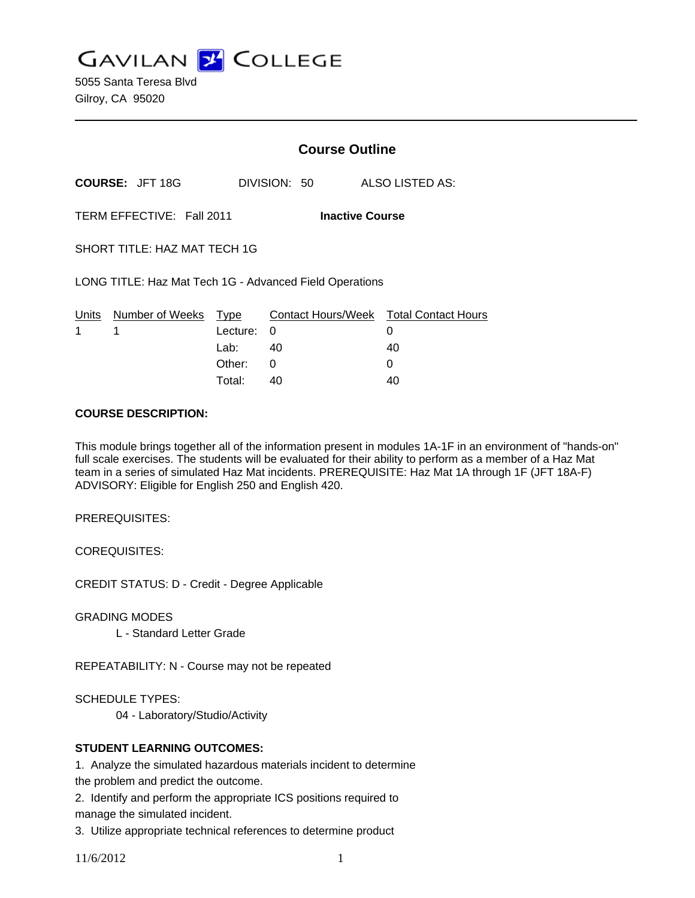**GAVILAN J COLLEGE** 

5055 Santa Teresa Blvd Gilroy, CA 95020

|                                                         |                                 | <b>Course Outline</b> |              |                                             |
|---------------------------------------------------------|---------------------------------|-----------------------|--------------|---------------------------------------------|
|                                                         | <b>COURSE: JFT 18G</b>          |                       | DIVISION: 50 | ALSO LISTED AS:                             |
| TERM EFFECTIVE: Fall 2011<br><b>Inactive Course</b>     |                                 |                       |              |                                             |
| SHORT TITLE: HAZ MAT TECH 1G                            |                                 |                       |              |                                             |
| LONG TITLE: Haz Mat Tech 1G - Advanced Field Operations |                                 |                       |              |                                             |
| 1                                                       | Units Number of Weeks Type<br>1 | Lecture: 0            |              | Contact Hours/Week Total Contact Hours<br>0 |
|                                                         |                                 | Lab: $40$             |              | 40                                          |
|                                                         |                                 | Other:                | 0            | 0                                           |
|                                                         |                                 | Total:                | 40           | 40                                          |

#### **COURSE DESCRIPTION:**

This module brings together all of the information present in modules 1A-1F in an environment of "hands-on" full scale exercises. The students will be evaluated for their ability to perform as a member of a Haz Mat team in a series of simulated Haz Mat incidents. PREREQUISITE: Haz Mat 1A through 1F (JFT 18A-F) ADVISORY: Eligible for English 250 and English 420.

PREREQUISITES:

COREQUISITES:

CREDIT STATUS: D - Credit - Degree Applicable

GRADING MODES

L - Standard Letter Grade

REPEATABILITY: N - Course may not be repeated

SCHEDULE TYPES:

04 - Laboratory/Studio/Activity

## **STUDENT LEARNING OUTCOMES:**

1. Analyze the simulated hazardous materials incident to determine

the problem and predict the outcome.

2. Identify and perform the appropriate ICS positions required to manage the simulated incident.

3. Utilize appropriate technical references to determine product

11/6/2012 1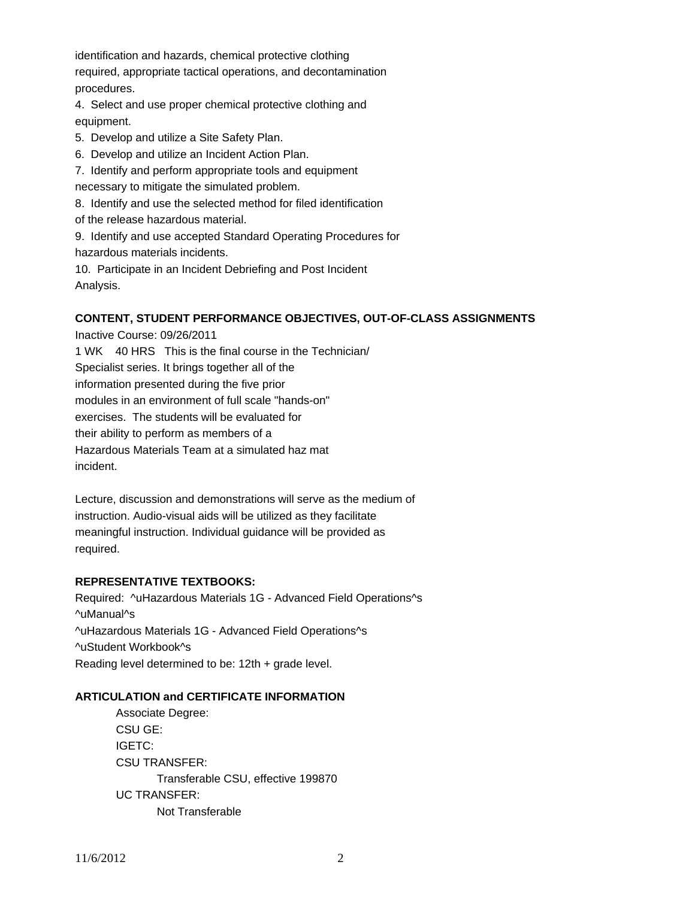identification and hazards, chemical protective clothing required, appropriate tactical operations, and decontamination procedures.

4. Select and use proper chemical protective clothing and equipment.

- 5. Develop and utilize a Site Safety Plan.
- 6. Develop and utilize an Incident Action Plan.
- 7. Identify and perform appropriate tools and equipment

necessary to mitigate the simulated problem.

- 8. Identify and use the selected method for filed identification
- of the release hazardous material.
- 9. Identify and use accepted Standard Operating Procedures for hazardous materials incidents.
- 10. Participate in an Incident Debriefing and Post Incident Analysis.

# **CONTENT, STUDENT PERFORMANCE OBJECTIVES, OUT-OF-CLASS ASSIGNMENTS**

Inactive Course: 09/26/2011 1 WK 40 HRS This is the final course in the Technician/ Specialist series. It brings together all of the information presented during the five prior modules in an environment of full scale "hands-on" exercises. The students will be evaluated for their ability to perform as members of a Hazardous Materials Team at a simulated haz mat incident.

Lecture, discussion and demonstrations will serve as the medium of instruction. Audio-visual aids will be utilized as they facilitate meaningful instruction. Individual guidance will be provided as required.

## **REPRESENTATIVE TEXTBOOKS:**

Required: ^uHazardous Materials 1G - Advanced Field Operations^s ^uManual^s ^uHazardous Materials 1G - Advanced Field Operations^s ^uStudent Workbook^s Reading level determined to be: 12th + grade level.

## **ARTICULATION and CERTIFICATE INFORMATION**

 Associate Degree: CSU GE: IGETC: CSU TRANSFER: Transferable CSU, effective 199870 UC TRANSFER: Not Transferable